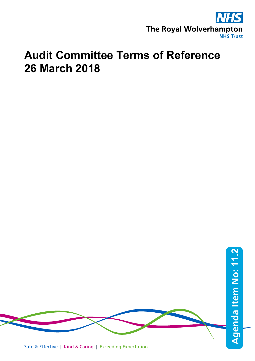

## **Audit Committee Terms of Reference 26 March 2018**

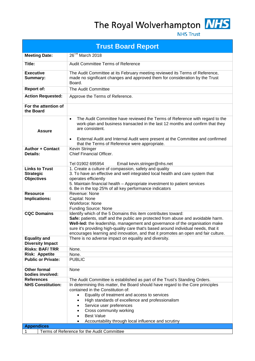

**NHS Trust** 

| <b>Trust Board Report</b>                      |                                                                                                                                                                                                                                                                                                                                                                                                                 |  |
|------------------------------------------------|-----------------------------------------------------------------------------------------------------------------------------------------------------------------------------------------------------------------------------------------------------------------------------------------------------------------------------------------------------------------------------------------------------------------|--|
| <b>Meeting Date:</b>                           | 26 <sup>TH</sup> March 2018                                                                                                                                                                                                                                                                                                                                                                                     |  |
| Title:                                         | Audit Committee Terms of Reference                                                                                                                                                                                                                                                                                                                                                                              |  |
| <b>Executive</b><br>Summary:                   | The Audit Committee at its February meeting reviewed its Terms of Reference,<br>made no significant changes and approved them for consideration by the Trust<br>Board.                                                                                                                                                                                                                                          |  |
| <b>Report of:</b>                              | The Audit Committee                                                                                                                                                                                                                                                                                                                                                                                             |  |
| <b>Action Requested:</b>                       | Approve the Terms of Reference.                                                                                                                                                                                                                                                                                                                                                                                 |  |
| For the attention of<br>the Board              |                                                                                                                                                                                                                                                                                                                                                                                                                 |  |
| <b>Assure</b>                                  | The Audit Committee have reviewed the Terms of Reference with regard to the<br>$\bullet$<br>work-plan and business transacted in the last 12 months and confirm that they<br>are consistent.<br>External Audit and Internal Audit were present at the Committee and confirmed<br>$\bullet$<br>that the Terms of Reference were appropriate.                                                                     |  |
| <b>Author + Contact</b><br>Details:            | Kevin Stringer<br>Chief Financial Officer.                                                                                                                                                                                                                                                                                                                                                                      |  |
| <b>Links to Trust</b>                          | Tel 01902 695954<br>Email kevin.stringer@nhs.net<br>1. Create a culture of compassion, safety and quality                                                                                                                                                                                                                                                                                                       |  |
| <b>Strategic</b><br><b>Objectives</b>          | 3. To have an effective and well integrated local health and care system that<br>operates efficiently<br>5. Maintain financial health – Appropriate investment to patient services<br>6. Be in the top 25% of all key performance indicators                                                                                                                                                                    |  |
| <b>Resource</b><br>Implications:               | Revenue: None<br>Capital: None<br><b>Workforce: None</b><br><b>Funding Source: None</b>                                                                                                                                                                                                                                                                                                                         |  |
| <b>CQC Domains</b>                             | Identify which of the 5 Domains this item contributes toward:<br>Safe: patients, staff and the public are protected from abuse and avoidable harm.<br>Well-led: the leadership, management and governance of the organisation make<br>sure it's providing high-quality care that's based around individual needs, that it<br>encourages learning and innovation, and that it promotes an open and fair culture. |  |
| <b>Equality and</b><br><b>Diversity Impact</b> | There is no adverse impact on equality and diversity.                                                                                                                                                                                                                                                                                                                                                           |  |
| <b>Risks: BAF/TRR</b>                          | None.                                                                                                                                                                                                                                                                                                                                                                                                           |  |
| <b>Risk: Appetite</b>                          | None.                                                                                                                                                                                                                                                                                                                                                                                                           |  |
| <b>Public or Private:</b>                      | <b>PUBLIC</b>                                                                                                                                                                                                                                                                                                                                                                                                   |  |
| <b>Other formal</b><br>bodies involved:        | None                                                                                                                                                                                                                                                                                                                                                                                                            |  |
| <b>References</b>                              | The Audit Committee is established as part of the Trust's Standing Orders.                                                                                                                                                                                                                                                                                                                                      |  |
| <b>NHS Constitution:</b>                       | In determining this matter, the Board should have regard to the Core principles<br>contained in the Constitution of:<br>Equality of treatment and access to services<br>$\bullet$<br>High standards of excellence and professionalism<br>$\bullet$<br>Service user preferences<br>Cross community working<br><b>Best Value</b><br>Accountability through local influence and scrutiny                           |  |
| <b>Appendices</b>                              |                                                                                                                                                                                                                                                                                                                                                                                                                 |  |
| 1                                              | Terms of Reference for the Audit Committee                                                                                                                                                                                                                                                                                                                                                                      |  |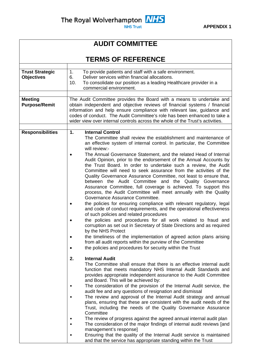**APPENDIX 1**

## **AUDIT COMMITTEE**

| <b>TERMS OF REFERENCE</b>                   |                                                                                                                                                                                                                                                                                                                                                                                                                                                                                                                                                                                        |  |
|---------------------------------------------|----------------------------------------------------------------------------------------------------------------------------------------------------------------------------------------------------------------------------------------------------------------------------------------------------------------------------------------------------------------------------------------------------------------------------------------------------------------------------------------------------------------------------------------------------------------------------------------|--|
|                                             |                                                                                                                                                                                                                                                                                                                                                                                                                                                                                                                                                                                        |  |
| <b>Trust Strategic</b><br><b>Objectives</b> | To provide patients and staff with a safe environment.<br>1.<br>Deliver services within financial allocations.<br>6.<br>To consolidate our position as a leading Healthcare provider in a<br>10.<br>commercial environment.                                                                                                                                                                                                                                                                                                                                                            |  |
|                                             |                                                                                                                                                                                                                                                                                                                                                                                                                                                                                                                                                                                        |  |
| <b>Meeting</b><br><b>Purpose/Remit</b>      | The Audit Committee provides the Board with a means to undertake and<br>obtain independent and objective reviews of financial systems / financial<br>information and help ensure compliance with relevant law, guidance and<br>codes of conduct. The Audit Committee's role has been enhanced to take a<br>wider view over internal controls across the whole of the Trust's activities.                                                                                                                                                                                               |  |
| <b>Responsibilities</b>                     | <b>Internal Control</b><br>1.                                                                                                                                                                                                                                                                                                                                                                                                                                                                                                                                                          |  |
|                                             | The Committee shall review the establishment and maintenance of<br>an effective system of internal control. In particular, the Committee<br>will review:-                                                                                                                                                                                                                                                                                                                                                                                                                              |  |
|                                             | The Annual Governance Statement, and the related Head of Internal<br>Audit Opinion, prior to the endorsement of the Annual Accounts by<br>the Trust Board. In order to undertake such a review, the Audit<br>Committee will need to seek assurance from the activities of the<br>Quality Governance Assurance Committee, not least to ensure that,<br>between the Audit Committee and the Quality Governance<br>Assurance Committee, full coverage is achieved. To support this<br>process, the Audit Committee will meet annually with the Quality<br>Governance Assurance Committee. |  |
|                                             | the policies for ensuring compliance with relevant regulatory, legal<br>and code of conduct requirements, and the operational effectiveness<br>of such policies and related procedures                                                                                                                                                                                                                                                                                                                                                                                                 |  |
|                                             | the policies and procedures for all work related to fraud and<br>$\bullet$<br>corruption as set out in Secretary of State Directions and as required<br>by the NHS Protect                                                                                                                                                                                                                                                                                                                                                                                                             |  |
|                                             | the timeliness of the implementation of agreed action plans arising<br>from all audit reports within the purview of the Committee<br>the policies and procedures for security within the Trust                                                                                                                                                                                                                                                                                                                                                                                         |  |
|                                             |                                                                                                                                                                                                                                                                                                                                                                                                                                                                                                                                                                                        |  |
|                                             | 2.<br><b>Internal Audit</b><br>The Committee shall ensure that there is an effective internal audit<br>function that meets mandatory NHS Internal Audit Standards and<br>provides appropriate independent assurance to the Audit Committee<br>and Board. This will be achieved by:                                                                                                                                                                                                                                                                                                     |  |
|                                             | The consideration of the provision of the Internal Audit service, the<br>$\bullet$<br>audit fee and any questions of resignation and dismissal                                                                                                                                                                                                                                                                                                                                                                                                                                         |  |
|                                             | The review and approval of the Internal Audit strategy and annual<br>$\bullet$<br>plans, ensuring that these are consistent with the audit needs of the<br>Trust, including the needs of the Quality Governance Assurance<br>Committee                                                                                                                                                                                                                                                                                                                                                 |  |
|                                             | The review of progress against the agreed annual internal audit plan<br>The consideration of the major findings of internal audit reviews [and                                                                                                                                                                                                                                                                                                                                                                                                                                         |  |
|                                             | management's response]<br>Ensuring that the quality of the Internal Audit service is maintained<br>and that the service has appropriate standing within the Trust                                                                                                                                                                                                                                                                                                                                                                                                                      |  |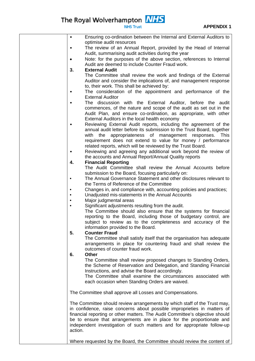| Ensuring co-ordination between the Internal and External Auditors to<br>$\bullet$                                                                |
|--------------------------------------------------------------------------------------------------------------------------------------------------|
| optimise audit resources                                                                                                                         |
| The review of an Annual Report, provided by the Head of Internal<br>٠                                                                            |
| Audit, summarising audit activities during the year                                                                                              |
| Note: for the purposes of the above section, references to Internal<br>$\bullet$                                                                 |
| Audit are deemed to include Counter Fraud work.                                                                                                  |
| 3.<br><b>External Audit</b>                                                                                                                      |
| The Committee shall review the work and findings of the External                                                                                 |
| Auditor and consider the implications of, and management response                                                                                |
| to, their work. This shall be achieved by:                                                                                                       |
| The consideration of the appointment and performance of the<br><b>External Auditor</b>                                                           |
|                                                                                                                                                  |
| The discussion with the External Auditor, before the audit                                                                                       |
| commences, of the nature and scope of the audit as set out in the<br>Audit Plan, and ensure co-ordination, as appropriate, with other            |
| External Auditors in the local health economy                                                                                                    |
| Reviewing External Audit reports, including the agreement of the                                                                                 |
| annual audit letter before its submission to the Trust Board, together                                                                           |
| appropriateness of management responses.<br>with the<br><b>This</b>                                                                              |
| requirement does not extend to value for money / performance                                                                                     |
| related reports, which will be reviewed by the Trust Board.                                                                                      |
| Reviewing and agreeing any additional work beyond the review of<br>$\bullet$                                                                     |
| the accounts and Annual Report/Annual Quality reports                                                                                            |
| 4.<br><b>Financial Reporting</b>                                                                                                                 |
| The Audit Committee shall review the Annual Accounts before                                                                                      |
| submission to the Board, focusing particularly on:                                                                                               |
| The Annual Governance Statement and other disclosures relevant to<br>$\bullet$                                                                   |
| the Terms of Reference of the Committee                                                                                                          |
| Changes in, and compliance with, accounting policies and practices;<br>$\bullet$                                                                 |
| Unadjusted mis-statements in the Annual Accounts<br>$\bullet$                                                                                    |
| Major judgmental areas<br>$\bullet$                                                                                                              |
| Significant adjustments resulting from the audit.<br>$\bullet$                                                                                   |
| The Committee should also ensure that the systems for financial                                                                                  |
| reporting to the Board, including those of budgetary control, are                                                                                |
| subject to review as to the completeness and accuracy of the                                                                                     |
| information provided to the Board.                                                                                                               |
| 5.<br><b>Counter Fraud</b>                                                                                                                       |
| The Committee shall satisfy itself that the organisation has adequate                                                                            |
| arrangements in place for countering fraud and shall review the                                                                                  |
| outcomes of counter fraud work.                                                                                                                  |
| <b>Other</b><br>6.                                                                                                                               |
| The Committee shall review proposed changes to Standing Orders,<br>the Scheme of Reservation and Delegation, and Standing Financial              |
| Instructions, and advise the Board accordingly.                                                                                                  |
| The Committee shall examine the circumstances associated with                                                                                    |
| each occasion when Standing Orders are waived.                                                                                                   |
|                                                                                                                                                  |
| The Committee shall approve all Losses and Compensations.                                                                                        |
|                                                                                                                                                  |
| The Committee should review arrangements by which staff of the Trust may,                                                                        |
| in confidence, raise concerns about possible improprieties in matters of                                                                         |
| financial reporting or other matters. The Audit Committee's objective should                                                                     |
| be to ensure that arrangements are in place for the proportionate and<br>independent investigation of such matters and for appropriate follow-up |
| action.                                                                                                                                          |
|                                                                                                                                                  |
| Where requested by the Board, the Committee should review the content of                                                                         |
|                                                                                                                                                  |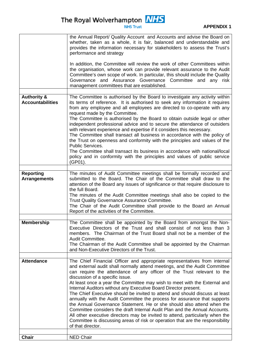**APPENDIX 1**

|                                                   | the Annual Report/ Quality Account and Accounts and advise the Board on<br>whether, taken as a whole, it is fair, balanced and understandable and<br>provides the information necessary for stakeholders to assess the Trust's<br>performance and strategy                                                                                                                                                                                                                                                                                                                                                                                                                                                                                                                                                                                                                                                                       |
|---------------------------------------------------|----------------------------------------------------------------------------------------------------------------------------------------------------------------------------------------------------------------------------------------------------------------------------------------------------------------------------------------------------------------------------------------------------------------------------------------------------------------------------------------------------------------------------------------------------------------------------------------------------------------------------------------------------------------------------------------------------------------------------------------------------------------------------------------------------------------------------------------------------------------------------------------------------------------------------------|
|                                                   | In addition, the Committee will review the work of other Committees within<br>the organisation, whose work can provide relevant assurance to the Audit<br>Committee's own scope of work. In particular, this should include the Quality<br>and Assurance Governance Committee and any risk<br>Governance<br>management committees that are established.                                                                                                                                                                                                                                                                                                                                                                                                                                                                                                                                                                          |
| <b>Authority &amp;</b><br><b>Accountabilities</b> | The Committee is authorised by the Board to investigate any activity within<br>its terms of reference. It is authorised to seek any information it requires<br>from any employee and all employees are directed to co-operate with any<br>request made by the Committee.<br>The Committee is authorised by the Board to obtain outside legal or other<br>independent professional advice and to secure the attendance of outsiders<br>with relevant experience and expertise if it considers this necessary.<br>The Committee shall transact all business in accordance with the policy of<br>the Trust on openness and conformity with the principles and values of the<br>Public Services.<br>The Committee shall transact its business in accordance with national/local<br>policy and in conformity with the principles and values of public service<br>(GP01).                                                              |
| <b>Reporting</b><br><b>Arrangements</b>           | The minutes of Audit Committee meetings shall be formally recorded and<br>submitted to the Board. The Chair of the Committee shall draw to the<br>attention of the Board any issues of significance or that require disclosure to<br>the full Board.<br>The minutes of the Audit Committee meetings shall also be copied to the<br>Trust Quality Governance Assurance Committee.<br>The Chair of the Audit Committee shall provide to the Board an Annual<br>Report of the activities of the Committee.                                                                                                                                                                                                                                                                                                                                                                                                                          |
| <b>Membership</b>                                 | The Committee shall be appointed by the Board from amongst the Non-<br>Executive Directors of the Trust and shall consist of not less than 3<br>members. The Chairman of the Trust Board shall not be a member of the<br>Audit Committee.<br>The Chairman of the Audit Committee shall be appointed by the Chairman<br>and Non-Executive Directors of the Trust.                                                                                                                                                                                                                                                                                                                                                                                                                                                                                                                                                                 |
| <b>Attendance</b>                                 | The Chief Financial Officer and appropriate representatives from internal<br>and external audit shall normally attend meetings, and the Audit Committee<br>can require the attendance of any officer of the Trust relevant to the<br>discussion of a specific issue.<br>At least once a year the Committee may wish to meet with the External and<br>Internal Auditors without any Executive Board Director present.<br>The Chief Executive should be invited to attend and should discuss at least<br>annually with the Audit Committee the process for assurance that supports<br>the Annual Governance Statement. He or she should also attend when the<br>Committee considers the draft Internal Audit Plan and the Annual Accounts.<br>All other executive directors may be invited to attend, particularly when the<br>Committee is discussing areas of risk or operation that are the responsibility<br>of that director. |
| <b>Chair</b>                                      | NED Chair                                                                                                                                                                                                                                                                                                                                                                                                                                                                                                                                                                                                                                                                                                                                                                                                                                                                                                                        |